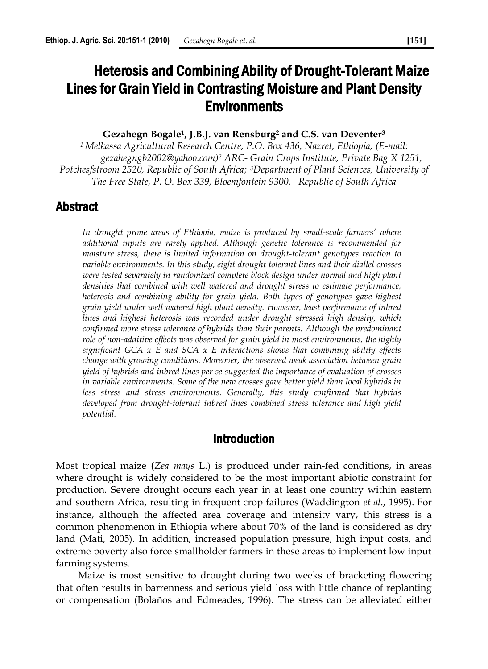# Heterosis and Combining Ability of Drought-Tolerant Maize Lines for Grain Yield in Contrasting Moisture and Plant Density **Environments**

#### **Gezahegn Bogale<sup>1</sup> , J.B.J. van Rensburg<sup>2</sup> and C.S. van Deventer<sup>3</sup>**

*<sup>1</sup>Melkassa Agricultural Research Centre, P.O. Box 436, Nazret, Ethiopia, (E-mail: gezahegngb2002@yahoo.com)<sup>2</sup> ARC- Grain Crops Institute, Private Bag X 1251, Potchesfstroom 2520, Republic of South Africa; <sup>3</sup>Department of Plant Sciences, University of The Free State, P. O. Box 339, Bloemfontein 9300, Republic of South Africa*

#### Abstract

*In drought prone areas of Ethiopia, maize is produced by small-scale farmers' where additional inputs are rarely applied. Although genetic tolerance is recommended for moisture stress, there is limited information on drought-tolerant genotypes reaction to variable environments. In this study, eight drought tolerant lines and their diallel crosses were tested separately in randomized complete block design under normal and high plant densities that combined with well watered and drought stress to estimate performance, heterosis and combining ability for grain yield. Both types of genotypes gave highest grain yield under well watered high plant density. However, least performance of inbred lines and highest heterosis was recorded under drought stressed high density, which confirmed more stress tolerance of hybrids than their parents. Although the predominant role of non-additive effects was observed for grain yield in most environments, the highly significant GCA x E and SCA x E interactions shows that combining ability effects change with growing conditions. Moreover, the observed weak association between grain yield of hybrids and inbred lines per se suggested the importance of evaluation of crosses in variable environments. Some of the new crosses gave better yield than local hybrids in*  less stress and stress environments. Generally, this study confirmed that hybrids *developed from drought-tolerant inbred lines combined stress tolerance and high yield potential.*

## Introduction

Most tropical maize **(***Zea mays* L.) is produced under rain-fed conditions, in areas where drought is widely considered to be the most important abiotic constraint for production. Severe drought occurs each year in at least one country within eastern and southern Africa, resulting in frequent crop failures (Waddington *et al*., 1995). For instance, although the affected area coverage and intensity vary, this stress is a common phenomenon in Ethiopia where about 70% of the land is considered as dry land (Mati, 2005). In addition, increased population pressure, high input costs, and extreme poverty also force smallholder farmers in these areas to implement low input farming systems.

Maize is most sensitive to drought during two weeks of bracketing flowering that often results in barrenness and serious yield loss with little chance of replanting or compensation (Bolaños and Edmeades, 1996). The stress can be alleviated either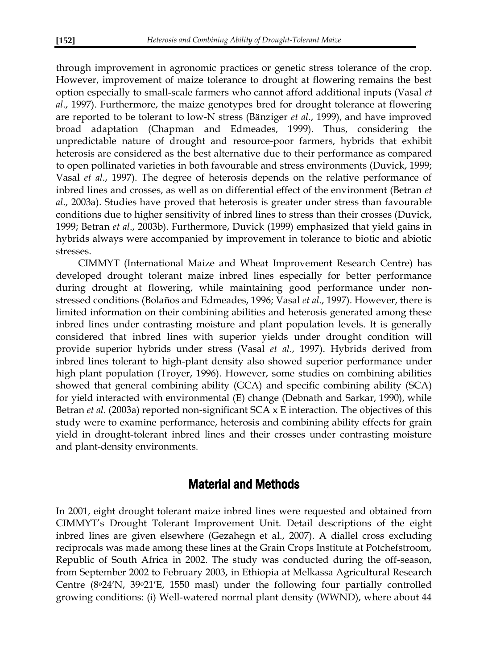through improvement in agronomic practices or genetic stress tolerance of the crop. However, improvement of maize tolerance to drought at flowering remains the best option especially to small-scale farmers who cannot afford additional inputs (Vasal *et al*., 1997). Furthermore, the maize genotypes bred for drought tolerance at flowering are reported to be tolerant to low-N stress (Bänziger *et al*., 1999), and have improved broad adaptation (Chapman and Edmeades, 1999). Thus, considering the unpredictable nature of drought and resource-poor farmers, hybrids that exhibit heterosis are considered as the best alternative due to their performance as compared to open pollinated varieties in both favourable and stress environments (Duvick, 1999; Vasal *et al*., 1997). The degree of heterosis depends on the relative performance of inbred lines and crosses, as well as on differential effect of the environment (Betran *et al*., 2003a). Studies have proved that heterosis is greater under stress than favourable conditions due to higher sensitivity of inbred lines to stress than their crosses (Duvick, 1999; Betran *et al*., 2003b). Furthermore, Duvick (1999) emphasized that yield gains in hybrids always were accompanied by improvement in tolerance to biotic and abiotic stresses.

CIMMYT (International Maize and Wheat Improvement Research Centre) has developed drought tolerant maize inbred lines especially for better performance during drought at flowering, while maintaining good performance under nonstressed conditions (Bolaños and Edmeades, 1996; Vasal *et al*., 1997). However, there is limited information on their combining abilities and heterosis generated among these inbred lines under contrasting moisture and plant population levels. It is generally considered that inbred lines with superior yields under drought condition will provide superior hybrids under stress (Vasal *et al*., 1997). Hybrids derived from inbred lines tolerant to high-plant density also showed superior performance under high plant population (Troyer, 1996). However, some studies on combining abilities showed that general combining ability (GCA) and specific combining ability (SCA) for yield interacted with environmental (E) change (Debnath and Sarkar, 1990), while Betran *et al*. (2003a) reported non-significant SCA x E interaction. The objectives of this study were to examine performance, heterosis and combining ability effects for grain yield in drought-tolerant inbred lines and their crosses under contrasting moisture and plant-density environments.

## Material and Methods

In 2001, eight drought tolerant maize inbred lines were requested and obtained from CIMMYT's Drought Tolerant Improvement Unit. Detail descriptions of the eight inbred lines are given elsewhere (Gezahegn et al., 2007). A diallel cross excluding reciprocals was made among these lines at the Grain Crops Institute at Potchefstroom, Republic of South Africa in 2002. The study was conducted during the off-season, from September 2002 to February 2003, in Ethiopia at Melkassa Agricultural Research Centre  $(8^{\circ}24^{\prime}N, 39^{\circ}21^{\prime}E, 1550 \text{ mas})$  under the following four partially controlled growing conditions: (i) Well-watered normal plant density (WWND), where about 44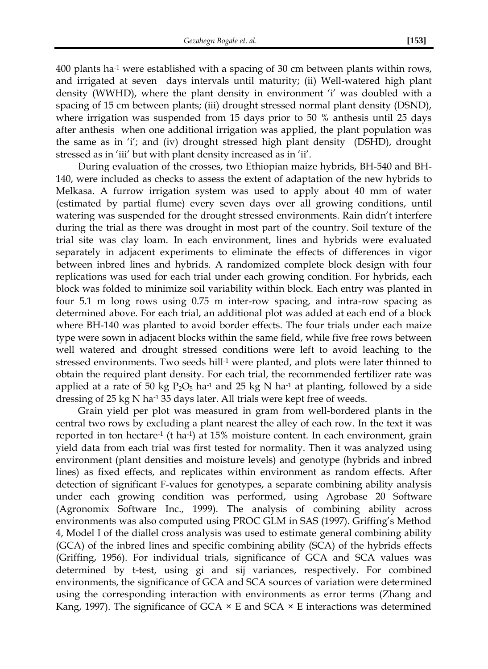$400$  plants ha<sup>-1</sup> were established with a spacing of 30 cm between plants within rows, and irrigated at seven days intervals until maturity; (ii) Well-watered high plant density (WWHD), where the plant density in environment 'i' was doubled with a spacing of 15 cm between plants; (iii) drought stressed normal plant density (DSND), where irrigation was suspended from 15 days prior to 50 % anthesis until 25 days after anthesis when one additional irrigation was applied, the plant population was the same as in 'i'; and (iv) drought stressed high plant density (DSHD), drought stressed as in 'iii' but with plant density increased as in 'ii'.

During evaluation of the crosses, two Ethiopian maize hybrids, BH-540 and BH-140, were included as checks to assess the extent of adaptation of the new hybrids to Melkasa. A furrow irrigation system was used to apply about 40 mm of water (estimated by partial flume) every seven days over all growing conditions, until watering was suspended for the drought stressed environments. Rain didn't interfere during the trial as there was drought in most part of the country. Soil texture of the trial site was clay loam. In each environment, lines and hybrids were evaluated separately in adjacent experiments to eliminate the effects of differences in vigor between inbred lines and hybrids. A randomized complete block design with four replications was used for each trial under each growing condition. For hybrids, each block was folded to minimize soil variability within block. Each entry was planted in four 5.1 m long rows using 0.75 m inter-row spacing, and intra-row spacing as determined above. For each trial, an additional plot was added at each end of a block where BH-140 was planted to avoid border effects. The four trials under each maize type were sown in adjacent blocks within the same field, while five free rows between well watered and drought stressed conditions were left to avoid leaching to the stressed environments. Two seeds hill<sup>-1</sup> were planted, and plots were later thinned to obtain the required plant density. For each trial, the recommended fertilizer rate was applied at a rate of 50 kg  $P_2O_5$  ha<sup>-1</sup> and 25 kg N ha<sup>-1</sup> at planting, followed by a side dressing of 25 kg N ha-1 35 days later. All trials were kept free of weeds.

Grain yield per plot was measured in gram from well-bordered plants in the central two rows by excluding a plant nearest the alley of each row. In the text it was reported in ton hectare<sup>-1</sup> (t ha<sup>-1</sup>) at 15% moisture content. In each environment, grain yield data from each trial was first tested for normality. Then it was analyzed using environment (plant densities and moisture levels) and genotype (hybrids and inbred lines) as fixed effects, and replicates within environment as random effects. After detection of significant F-values for genotypes, a separate combining ability analysis under each growing condition was performed, using Agrobase 20 Software (Agronomix Software Inc., 1999). The analysis of combining ability across environments was also computed using PROC GLM in SAS (1997). Griffing's Method 4, Model I of the diallel cross analysis was used to estimate general combining ability (GCA) of the inbred lines and specific combining ability (SCA) of the hybrids effects (Griffing, 1956). For individual trials, significance of GCA and SCA values was determined by t-test, using gi and sij variances, respectively. For combined environments, the significance of GCA and SCA sources of variation were determined using the corresponding interaction with environments as error terms (Zhang and Kang, 1997). The significance of  $GCA \times E$  and  $SCA \times E$  interactions was determined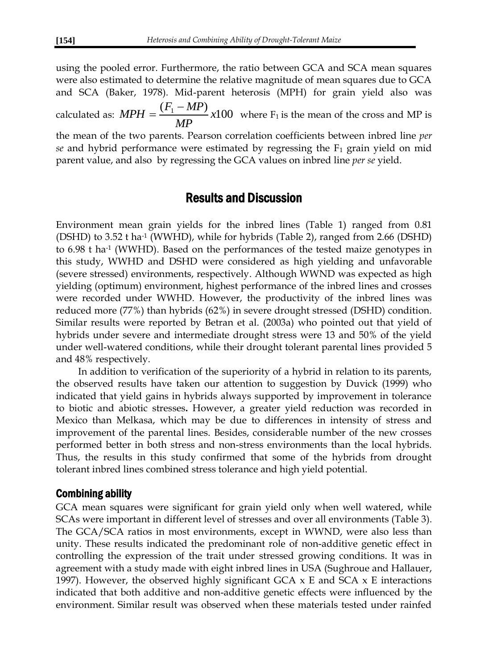using the pooled error. Furthermore, the ratio between GCA and SCA mean squares were also estimated to determine the relative magnitude of mean squares due to GCA and SCA (Baker, 1978). Mid-parent heterosis (MPH) for grain yield also was calculated as:  $MPH = \frac{(F_1 - MP)}{MP} \times 100$ *MP*  $MPH = \frac{(F_1 - MP_1)}{MP}$  $=\frac{(F_1 - MP)}{N}$  x100 where F<sub>1</sub> is the mean of the cross and MP is the mean of the two parents. Pearson correlation coefficients between inbred line *per se* and hybrid performance were estimated by regressing the F<sub>1</sub> grain yield on mid parent value, and also by regressing the GCA values on inbred line *per se* yield.

#### Results and Discussion

Environment mean grain yields for the inbred lines (Table 1) ranged from 0.81 (DSHD) to 3.52 t ha-1 (WWHD), while for hybrids (Table 2), ranged from 2.66 (DSHD) to 6.98 t ha<sup>-1</sup> (WWHD). Based on the performances of the tested maize genotypes in this study, WWHD and DSHD were considered as high yielding and unfavorable (severe stressed) environments, respectively. Although WWND was expected as high yielding (optimum) environment, highest performance of the inbred lines and crosses were recorded under WWHD. However, the productivity of the inbred lines was reduced more (77%) than hybrids (62%) in severe drought stressed (DSHD) condition. Similar results were reported by Betran et al. (2003a) who pointed out that yield of hybrids under severe and intermediate drought stress were 13 and 50% of the yield under well-watered conditions, while their drought tolerant parental lines provided 5 and 48% respectively.

In addition to verification of the superiority of a hybrid in relation to its parents, the observed results have taken our attention to suggestion by Duvick (1999) who indicated that yield gains in hybrids always supported by improvement in tolerance to biotic and abiotic stresses**.** However, a greater yield reduction was recorded in Mexico than Melkasa, which may be due to differences in intensity of stress and improvement of the parental lines. Besides, considerable number of the new crosses performed better in both stress and non-stress environments than the local hybrids. Thus, the results in this study confirmed that some of the hybrids from drought tolerant inbred lines combined stress tolerance and high yield potential.

#### Combining ability

GCA mean squares were significant for grain yield only when well watered, while SCAs were important in different level of stresses and over all environments (Table 3). The GCA/SCA ratios in most environments, except in WWND, were also less than unity. These results indicated the predominant role of non-additive genetic effect in controlling the expression of the trait under stressed growing conditions. It was in agreement with a study made with eight inbred lines in USA (Sughroue and Hallauer, 1997). However, the observed highly significant GCA  $\times$  E and SCA  $\times$  E interactions indicated that both additive and non-additive genetic effects were influenced by the environment. Similar result was observed when these materials tested under rainfed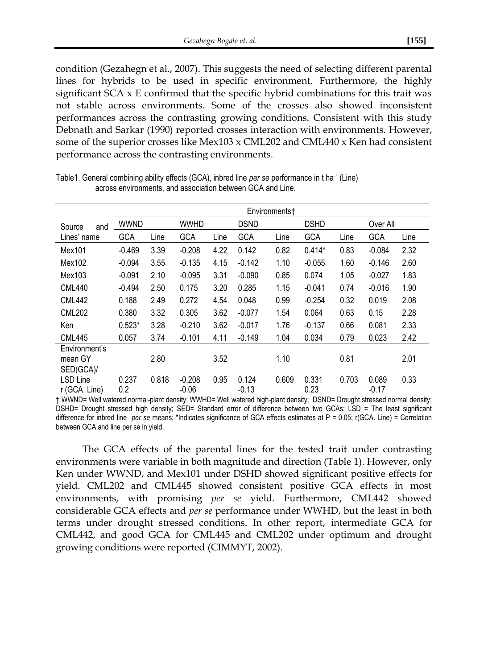condition (Gezahegn et al., 2007). This suggests the need of selecting different parental lines for hybrids to be used in specific environment. Furthermore, the highly significant  $SCA \times E$  confirmed that the specific hybrid combinations for this trait was not stable across environments. Some of the crosses also showed inconsistent performances across the contrasting growing conditions. Consistent with this study Debnath and Sarkar (1990) reported crosses interaction with environments. However, some of the superior crosses like Mex103 x CML202 and CML440 x Ken had consistent performance across the contrasting environments.

|                                       | Environments† |       |                     |      |                  |       |               |       |                  |      |  |
|---------------------------------------|---------------|-------|---------------------|------|------------------|-------|---------------|-------|------------------|------|--|
| Source<br>and                         | wwnd          |       | <b>WWHD</b>         |      | <b>DSND</b>      |       | <b>DSHD</b>   |       | Over All         |      |  |
| Lines' name                           | GCA           | Line  | <b>GCA</b>          | Line | GCA              | Line  | GCA           | Line  | <b>GCA</b>       | Line |  |
| Mex101                                | $-0.469$      | 3.39  | $-0.208$            | 4.22 | 0.142            | 0.82  | $0.414*$      | 0.83  | $-0.084$         | 2.32 |  |
| Mex102                                | $-0.094$      | 3.55  | $-0.135$            | 4.15 | $-0.142$         | 1.10  | $-0.055$      | 1.60  | $-0.146$         | 2.60 |  |
| Mex103                                | $-0.091$      | 2.10  | $-0.095$            | 3.31 | $-0.090$         | 0.85  | 0.074         | 1.05  | $-0.027$         | 1.83 |  |
| <b>CML440</b>                         | $-0.494$      | 2.50  | 0.175               | 3.20 | 0.285            | 1.15  | $-0.041$      | 0.74  | $-0.016$         | 1.90 |  |
| <b>CML442</b>                         | 0.188         | 2.49  | 0.272               | 4.54 | 0.048            | 0.99  | $-0.254$      | 0.32  | 0.019            | 2.08 |  |
| <b>CML202</b>                         | 0.380         | 3.32  | 0.305               | 3.62 | $-0.077$         | 1.54  | 0.064         | 0.63  | 0.15             | 2.28 |  |
| Ken                                   | $0.523*$      | 3.28  | $-0.210$            | 3.62 | $-0.017$         | 1.76  | $-0.137$      | 0.66  | 0.081            | 2.33 |  |
| <b>CML445</b>                         | 0.057         | 3.74  | $-0.101$            | 4.11 | $-0.149$         | 1.04  | 0.034         | 0.79  | 0.023            | 2.42 |  |
| Environment's<br>mean GY<br>SED(GCA)/ |               | 2.80  |                     | 3.52 |                  | 1.10  |               | 0.81  |                  | 2.01 |  |
| LSD Line<br>r (GCA. Line)             | 0.237<br>0.2  | 0.818 | $-0.208$<br>$-0.06$ | 0.95 | 0.124<br>$-0.13$ | 0.609 | 0.331<br>0.23 | 0.703 | 0.089<br>$-0.17$ | 0.33 |  |

Table1. General combining ability effects (GCA), inbred line *per se* performance in t ha-1 (Line) across environments, and association between GCA and Line.

† WWND= Well watered normal-plant density; WWHD= Well watered high-plant density; DSND= Drought stressed normal density; DSHD= Drought stressed high density; SED= Standard error of difference between two GCAs; LSD = The least significant difference for inbred line *per se* means; \*Indicates significance of GCA effects estimates at P = 0.05; r(GCA. Line) = Correlation between GCA and line per se in yield.

The GCA effects of the parental lines for the tested trait under contrasting environments were variable in both magnitude and direction (Table 1). However, only Ken under WWND, and Mex101 under DSHD showed significant positive effects for yield. CML202 and CML445 showed consistent positive GCA effects in most environments, with promising *per se* yield. Furthermore, CML442 showed considerable GCA effects and *per se* performance under WWHD, but the least in both terms under drought stressed conditions. In other report, intermediate GCA for CML442, and good GCA for CML445 and CML202 under optimum and drought growing conditions were reported (CIMMYT, 2002).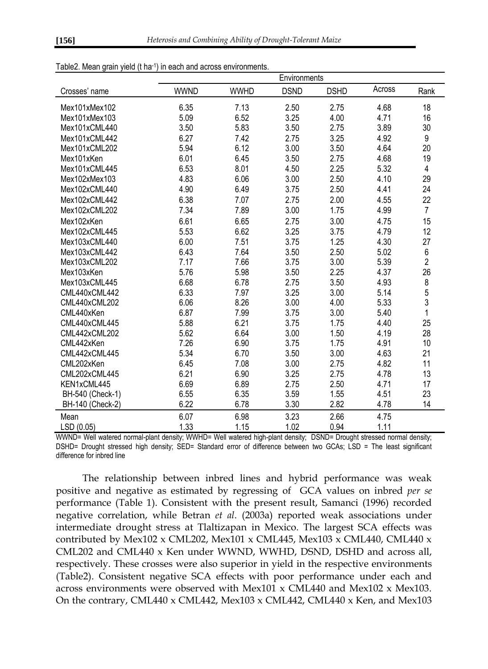| rabicz. Mcari yrain yrciu (ma | in each and across environments.<br>Environments |             |             |             |        |                         |  |  |  |
|-------------------------------|--------------------------------------------------|-------------|-------------|-------------|--------|-------------------------|--|--|--|
| Crosses' name                 | <b>WWND</b>                                      | <b>WWHD</b> | <b>DSND</b> | <b>DSHD</b> | Across | Rank                    |  |  |  |
| Mex101xMex102                 | 6.35                                             | 7.13        | 2.50        | 2.75        | 4.68   | 18                      |  |  |  |
| Mex101xMex103                 | 5.09                                             | 6.52        | 3.25        | 4.00        | 4.71   | 16                      |  |  |  |
| Mex101xCML440                 | 3.50                                             | 5.83        | 3.50        | 2.75        | 3.89   | 30                      |  |  |  |
| Mex101xCML442                 | 6.27                                             | 7.42        | 2.75        | 3.25        | 4.92   | 9                       |  |  |  |
| Mex101xCML202                 | 5.94                                             | 6.12        | 3.00        | 3.50        | 4.64   | 20                      |  |  |  |
| Mex101xKen                    | 6.01                                             | 6.45        | 3.50        | 2.75        | 4.68   | 19                      |  |  |  |
| Mex101xCML445                 | 6.53                                             | 8.01        | 4.50        | 2.25        | 5.32   | $\overline{\mathbf{4}}$ |  |  |  |
| Mex102xMex103                 | 4.83                                             | 6.06        | 3.00        | 2.50        | 4.10   | 29                      |  |  |  |
| Mex102xCML440                 | 4.90                                             | 6.49        | 3.75        | 2.50        | 4.41   | 24                      |  |  |  |
| Mex102xCMI 442                | 6.38                                             | 7.07        | 2.75        | 2.00        | 4.55   | 22                      |  |  |  |
| Mex102xCML202                 | 7.34                                             | 7.89        | 3.00        | 1.75        | 4.99   | $\overline{7}$          |  |  |  |
| Mex102xKen                    | 6.61                                             | 6.65        | 2.75        | 3.00        | 4.75   | 15                      |  |  |  |
| Mex102xCML445                 | 5.53                                             | 6.62        | 3.25        | 3.75        | 4.79   | 12                      |  |  |  |
| Mex103xCML440                 | 6.00                                             | 7.51        | 3.75        | 1.25        | 4.30   | 27                      |  |  |  |
| Mex103xCML442                 | 6.43                                             | 7.64        | 3.50        | 2.50        | 5.02   | 6                       |  |  |  |
| Mex103xCML202                 | 7.17                                             | 7.66        | 3.75        | 3.00        | 5.39   | $\overline{2}$          |  |  |  |
| Mex103xKen                    | 5.76                                             | 5.98        | 3.50        | 2.25        | 4.37   | 26                      |  |  |  |
| Mex103xCML445                 | 6.68                                             | 6.78        | 2.75        | 3.50        | 4.93   | 8                       |  |  |  |
| CML440xCML442                 | 6.33                                             | 7.97        | 3.25        | 3.00        | 5.14   | 5                       |  |  |  |
| CML440xCML202                 | 6.06                                             | 8.26        | 3.00        | 4.00        | 5.33   | 3                       |  |  |  |
| CML440xKen                    | 6.87                                             | 7.99        | 3.75        | 3.00        | 5.40   | 1                       |  |  |  |
| CML440xCML445                 | 5.88                                             | 6.21        | 3.75        | 1.75        | 4.40   | 25                      |  |  |  |
| CML442xCML202                 | 5.62                                             | 6.64        | 3.00        | 1.50        | 4.19   | 28                      |  |  |  |
| CML442xKen                    | 7.26                                             | 6.90        | 3.75        | 1.75        | 4.91   | 10                      |  |  |  |
| CML442xCML445                 | 5.34                                             | 6.70        | 3.50        | 3.00        | 4.63   | 21                      |  |  |  |
| CML202xKen                    | 6.45                                             | 7.08        | 3.00        | 2.75        | 4.82   | 11                      |  |  |  |
| CML202xCML445                 | 6.21                                             | 6.90        | 3.25        | 2.75        | 4.78   | 13                      |  |  |  |
| KEN1xCML445                   | 6.69                                             | 6.89        | 2.75        | 2.50        | 4.71   | 17                      |  |  |  |
| BH-540 (Check-1)              | 6.55                                             | 6.35        | 3.59        | 1.55        | 4.51   | 23                      |  |  |  |
| BH-140 (Check-2)              | 6.22                                             | 6.78        | 3.30        | 2.82        | 4.78   | 14                      |  |  |  |
| Mean                          | 6.07                                             | 6.98        | 3.23        | 2.66        | 4.75   |                         |  |  |  |
| LSD (0.05)                    | 1.33                                             | 1.15        | 1.02        | 0.94        | 1.11   |                         |  |  |  |

Table2. Mean grain yield (t ha-1) in each and across environments.

WWND= Well watered normal-plant density; WWHD= Well watered high-plant density; DSND= Drought stressed normal density; DSHD= Drought stressed high density; SED= Standard error of difference between two GCAs; LSD = The least significant difference for inbred line

The relationship between inbred lines and hybrid performance was weak positive and negative as estimated by regressing of GCA values on inbred *per se* performance (Table 1). Consistent with the present result, Samanci (1996) recorded negative correlation, while Betran *et al*. (2003a) reported weak associations under intermediate drought stress at Tlaltizapan in Mexico. The largest SCA effects was contributed by Mex102 x CML202, Mex101 x CML445, Mex103 x CML440, CML440 x CML202 and CML440 x Ken under WWND, WWHD, DSND, DSHD and across all, respectively. These crosses were also superior in yield in the respective environments (Table2). Consistent negative SCA effects with poor performance under each and across environments were observed with Mex101 x CML440 and Mex102 x Mex103. On the contrary, CML440 x CML442, Mex103 x CML442, CML440 x Ken, and Mex103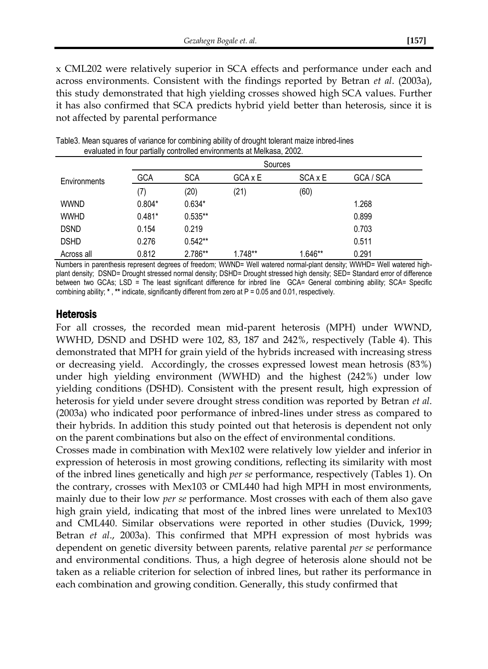x CML202 were relatively superior in SCA effects and performance under each and across environments. Consistent with the findings reported by Betran *et al*. (2003a), this study demonstrated that high yielding crosses showed high SCA values. Further it has also confirmed that SCA predicts hybrid yield better than heterosis, since it is not affected by parental performance

|              |            | Sources    |         |         |           |  |  |  |  |  |  |  |
|--------------|------------|------------|---------|---------|-----------|--|--|--|--|--|--|--|
| Environments | <b>GCA</b> | <b>SCA</b> | GCA x E | SCA x E | GCA / SCA |  |  |  |  |  |  |  |
|              | (7)        | (20)       | (21)    | (60)    |           |  |  |  |  |  |  |  |
| <b>WWND</b>  | $0.804*$   | $0.634*$   |         |         | 1.268     |  |  |  |  |  |  |  |
| <b>WWHD</b>  | $0.481*$   | $0.535**$  |         |         | 0.899     |  |  |  |  |  |  |  |
| <b>DSND</b>  | 0.154      | 0.219      |         |         | 0.703     |  |  |  |  |  |  |  |
| <b>DSHD</b>  | 0.276      | $0.542**$  |         |         | 0.511     |  |  |  |  |  |  |  |
| Across all   | 0.812      | 2.786**    | 1.748** | 1.646** | 0.291     |  |  |  |  |  |  |  |

Table3. Mean squares of variance for combining ability of drought tolerant maize inbred-lines evaluated in four partially controlled environments at Melkasa, 2002.

Numbers in parenthesis represent degrees of freedom; WWND= Well watered normal-plant density; WWHD= Well watered highplant density; DSND= Drought stressed normal density; DSHD= Drought stressed high density; SED= Standard error of difference between two GCAs; LSD = The least significant difference for inbred line GCA= General combining ability; SCA= Specific combining ability; **\*** , **\*\*** indicate, significantly different from zero at P = 0.05 and 0.01, respectively.

#### Heterosis

For all crosses, the recorded mean mid-parent heterosis (MPH) under WWND, WWHD, DSND and DSHD were 102, 83, 187 and 242%, respectively (Table 4). This demonstrated that MPH for grain yield of the hybrids increased with increasing stress or decreasing yield. Accordingly, the crosses expressed lowest mean hetrosis (83%) under high yielding environment (WWHD) and the highest (242%) under low yielding conditions (DSHD). Consistent with the present result, high expression of heterosis for yield under severe drought stress condition was reported by Betran *et al*. (2003a) who indicated poor performance of inbred-lines under stress as compared to their hybrids. In addition this study pointed out that heterosis is dependent not only on the parent combinations but also on the effect of environmental conditions.

Crosses made in combination with Mex102 were relatively low yielder and inferior in expression of heterosis in most growing conditions, reflecting its similarity with most of the inbred lines genetically and high *per se* performance, respectively (Tables 1). On the contrary, crosses with Mex103 or CML440 had high MPH in most environments, mainly due to their low *per se* performance. Most crosses with each of them also gave high grain yield, indicating that most of the inbred lines were unrelated to Mex103 and CML440. Similar observations were reported in other studies (Duvick, 1999; Betran *et al*., 2003a). This confirmed that MPH expression of most hybrids was dependent on genetic diversity between parents, relative parental *per se* performance and environmental conditions. Thus, a high degree of heterosis alone should not be taken as a reliable criterion for selection of inbred lines, but rather its performance in each combination and growing condition. Generally, this study confirmed that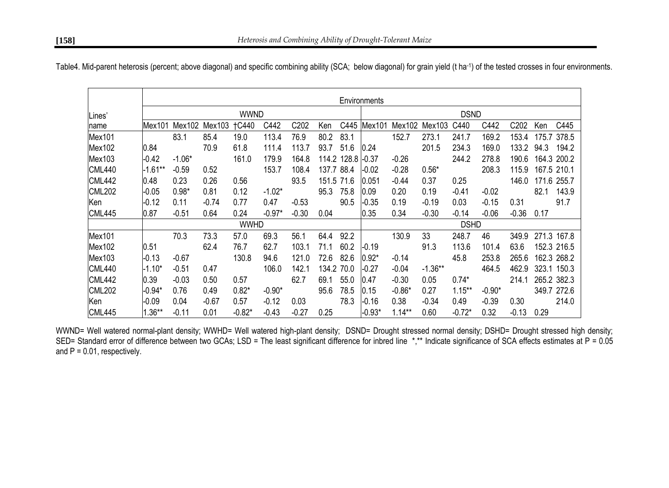|               | Environments |          |         |              |          |                  |            |             |             |           |           |           |          |                  |      |             |
|---------------|--------------|----------|---------|--------------|----------|------------------|------------|-------------|-------------|-----------|-----------|-----------|----------|------------------|------|-------------|
| Lines'        | <b>WWND</b>  |          |         |              |          |                  |            | <b>DSND</b> |             |           |           |           |          |                  |      |             |
| name          | Mex101       | Mex102   | Mex103  | <b>TC440</b> | C442     | C <sub>202</sub> | Ken        | C445        | Mex101      | Mex102    | Mex103    | C440      | C442     | C <sub>202</sub> | Ken  | C445        |
| Mex101        |              | 83.1     | 85.4    | 19.0         | 113.4    | 76.9             | 80.2       | 83.1        |             | 152.7     | 273.1     | 241.7     | 169.2    | 153.4            |      | 175.7 378.5 |
| Mex102        | 0.84         |          | 70.9    | 61.8         | 111.4    | 113.7            | 93.7       | 51.6        | 0.24        |           | 201.5     | 234.3     | 169.0    | 133.2            | 94.3 | 194.2       |
| Mex103        | $-0.42$      | $-1.06*$ |         | 161.0        | 179.9    | 164.8            | 114.2      | 128.8 -0.37 |             | $-0.26$   |           | 244.2     | 278.8    | 190.6            |      | 164.3 200.2 |
| <b>CML440</b> | $-1.61**$    | $-0.59$  | 0.52    |              | 153.7    | 108.4            | 137.7      | 88.4        | $-0.02$     | $-0.28$   | $0.56*$   |           | 208.3    | 115.9            |      | 167.5 210.1 |
| <b>CML442</b> | 0.48         | 0.23     | 0.26    | 0.56         |          | 93.5             | 151.5 71.6 |             | 0.051       | $-0.44$   | 0.37      | 0.25      |          | 146.0            |      | 171.6 255.7 |
| <b>CML202</b> | $-0.05$      | $0.98*$  | 0.81    | 0.12         | $-1.02*$ |                  | 95.3       | 75.8        | 0.09        | 0.20      | 0.19      | $-0.41$   | $-0.02$  |                  | 82.1 | 143.9       |
| Ken           | $-0.12$      | 0.11     | $-0.74$ | 0.77         | 0.47     | $-0.53$          |            | 90.5        | $-0.35$     | 0.19      | $-0.19$   | 0.03      | $-0.15$  | 0.31             |      | 91.7        |
| <b>CML445</b> | 0.87         | $-0.51$  | 0.64    | 0.24         | $-0.97*$ | $-0.30$          | 0.04       |             | 0.35        | 0.34      | $-0.30$   | $-0.14$   | $-0.06$  | $-0.36$          | 0.17 |             |
|               |              |          |         | <b>WWHD</b>  |          |                  |            |             | <b>DSHD</b> |           |           |           |          |                  |      |             |
| Mex101        |              | 70.3     | 73.3    | 57.0         | 69.3     | 56.1             | 64.4       | 92.2        |             | 130.9     | 33        | 248.7     | 46       | 349.9            |      | 271.3 167.8 |
| Mex102        | 0.51         |          | 62.4    | 76.7         | 62.7     | 103.1            | 71.1       | 60.2        | $-0.19$     |           | 91.3      | 113.6     | 101.4    | 63.6             |      | 152.3 216.5 |
| Mex103        | $-0.13$      | $-0.67$  |         | 130.8        | 94.6     | 121.0            | 72.6       | 82.6        | $0.92*$     | $-0.14$   |           | 45.8      | 253.8    | 265.6            |      | 162.3 268.2 |
| <b>CML440</b> | $-1.10*$     | $-0.51$  | 0.47    |              | 106.0    | 142.1            | 134.2      | 70.0        | $-0.27$     | $-0.04$   | $-1.36**$ |           | 464.5    | 462.9            |      | 323.1 150.3 |
| <b>CML442</b> | 0.39         | $-0.03$  | 0.50    | 0.57         |          | 62.7             | 69.1       | 55.0        | 0.47        | $-0.30$   | 0.05      | $0.74*$   |          | 214.1            |      | 265.2 382.3 |
| <b>CML202</b> | -0.94*       | 0.76     | 0.49    | $0.82*$      | $-0.90*$ |                  | 95.6       | 78.5        | 0.15        | $-0.86*$  | 0.27      | $1.15***$ | $-0.90*$ |                  |      | 349.7 272.6 |
| Ken           | $-0.09$      | 0.04     | $-0.67$ | 0.57         | $-0.12$  | 0.03             |            | 78.3        | $-0.16$     | 0.38      | $-0.34$   | 0.49      | $-0.39$  | 0.30             |      | 214.0       |
| <b>CML445</b> | $1.36**$     | $-0.11$  | 0.01    | $-0.82*$     | $-0.43$  | $-0.27$          | 0.25       |             | $-0.93*$    | $1.14***$ | 0.60      | $-0.72*$  | 0.32     | $-0.13$          | 0.29 |             |

Table4. Mid-parent heterosis (percent; above diagonal) and specific combining ability (SCA; below diagonal) for grain yield (t ha-1) of the tested crosses in four environments.

WWND= Well watered normal-plant density; WWHD= Well watered high-plant density; DSND= Drought stressed normal density; DSHD= Drought stressed high density; SED= Standard error of difference between two GCAs; LSD = The least significant difference for inbred line \*,\*\* Indicate significance of SCA effects estimates at P = 0.05 and  $P = 0.01$ , respectively.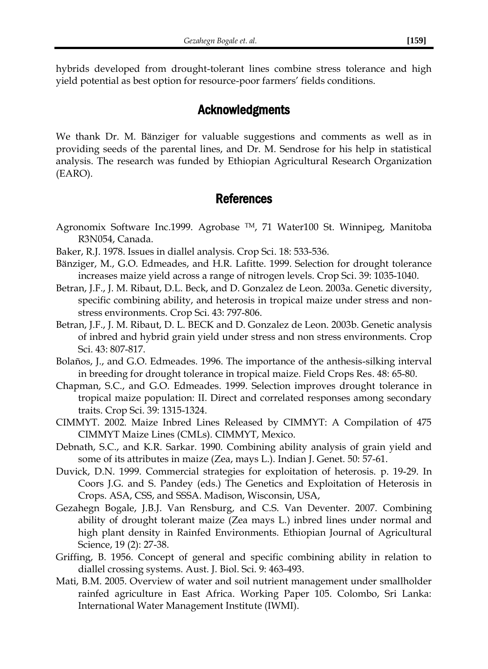hybrids developed from drought-tolerant lines combine stress tolerance and high yield potential as best option for resource-poor farmers' fields conditions.

## Acknowledgments

We thank Dr. M. Bänziger for valuable suggestions and comments as well as in providing seeds of the parental lines, and Dr. M. Sendrose for his help in statistical analysis. The research was funded by Ethiopian Agricultural Research Organization (EARO).

## References

- Agronomix Software Inc.1999. Agrobase TM, 71 Water100 St. Winnipeg, Manitoba R3N054, Canada.
- Baker, R.J. 1978. Issues in diallel analysis. Crop Sci. 18: 533-536.
- Bänziger, M., G.O. Edmeades, and H.R. Lafitte. 1999. Selection for drought tolerance increases maize yield across a range of nitrogen levels. Crop Sci. 39: 1035-1040.
- Betran, J.F., J. M. Ribaut, D.L. Beck, and D. Gonzalez de Leon. 2003a. Genetic diversity, specific combining ability, and heterosis in tropical maize under stress and nonstress environments. Crop Sci. 43: 797-806.
- Betran, J.F., J. M. Ribaut, D. L. BECK and D. Gonzalez de Leon. 2003b. Genetic analysis of inbred and hybrid grain yield under stress and non stress environments. Crop Sci. 43: 807-817.
- Bolaños, J., and G.O. Edmeades. 1996. The importance of the anthesis-silking interval in breeding for drought tolerance in tropical maize. Field Crops Res. 48: 65-80.
- Chapman, S.C., and G.O. Edmeades. 1999. Selection improves drought tolerance in tropical maize population: II. Direct and correlated responses among secondary traits. Crop Sci. 39: 1315-1324.
- CIMMYT. 2002. Maize Inbred Lines Released by CIMMYT: A Compilation of 475 CIMMYT Maize Lines (CMLs). CIMMYT, Mexico.
- Debnath, S.C., and K.R. Sarkar. 1990. Combining ability analysis of grain yield and some of its attributes in maize (Zea, mays L.). Indian J. Genet. 50: 57-61.
- Duvick, D.N. 1999. Commercial strategies for exploitation of heterosis. p. 19-29. In Coors J.G. and S. Pandey (eds.) The Genetics and Exploitation of Heterosis in Crops. ASA, CSS, and SSSA. Madison, Wisconsin, USA,
- Gezahegn Bogale, J.B.J. Van Rensburg, and C.S. Van Deventer. 2007. Combining ability of drought tolerant maize (Zea mays L.) inbred lines under normal and high plant density in Rainfed Environments. Ethiopian Journal of Agricultural Science, 19 (2): 27-38.
- Griffing, B. 1956. Concept of general and specific combining ability in relation to diallel crossing systems. Aust. J. Biol. Sci. 9: 463-493.
- Mati, B.M. 2005. Overview of water and soil nutrient management under smallholder rainfed agriculture in East Africa. Working Paper 105. Colombo, Sri Lanka: International Water Management Institute (IWMI).